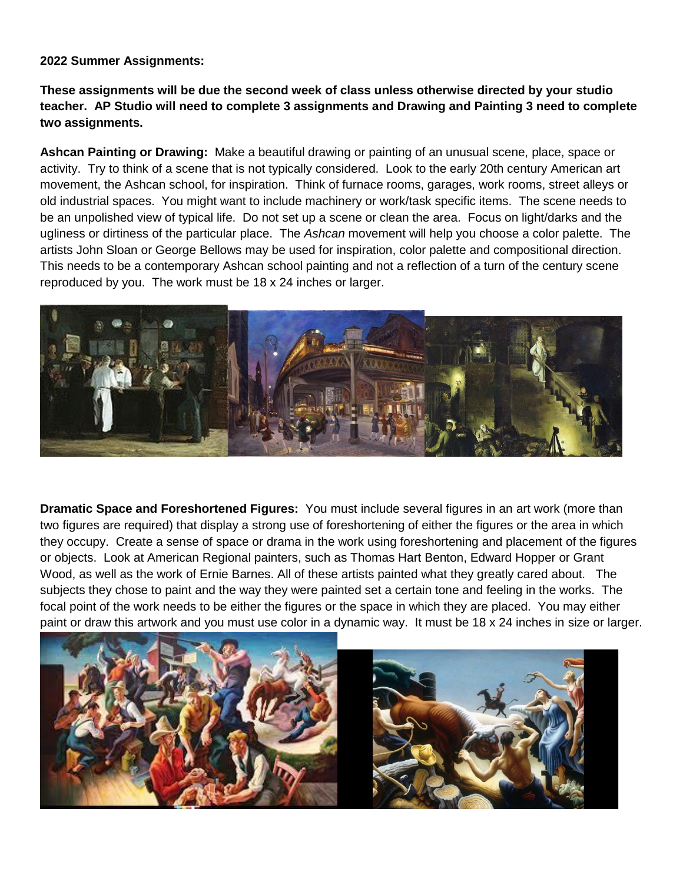**2022 Summer Assignments:**

**These assignments will be due the second week of class unless otherwise directed by your studio teacher. AP Studio will need to complete 3 assignments and Drawing and Painting 3 need to complete two assignments.**

**Ashcan Painting or Drawing:** Make a beautiful drawing or painting of an unusual scene, place, space or activity. Try to think of a scene that is not typically considered. Look to the early 20th century American art movement, the Ashcan school, for inspiration. Think of furnace rooms, garages, work rooms, street alleys or old industrial spaces. You might want to include machinery or work/task specific items. The scene needs to be an unpolished view of typical life. Do not set up a scene or clean the area. Focus on light/darks and the ugliness or dirtiness of the particular place. The *Ashcan* movement will help you choose a color palette. The artists John Sloan or George Bellows may be used for inspiration, color palette and compositional direction. This needs to be a contemporary Ashcan school painting and not a reflection of a turn of the century scene reproduced by you. The work must be 18 x 24 inches or larger.



**Dramatic Space and Foreshortened Figures:** You must include several figures in an art work (more than two figures are required) that display a strong use of foreshortening of either the figures or the area in which they occupy. Create a sense of space or drama in the work using foreshortening and placement of the figures or objects. Look at American Regional painters, such as Thomas Hart Benton, Edward Hopper or Grant Wood, as well as the work of Ernie Barnes. All of these artists painted what they greatly cared about. The subjects they chose to paint and the way they were painted set a certain tone and feeling in the works. The focal point of the work needs to be either the figures or the space in which they are placed. You may either paint or draw this artwork and you must use color in a dynamic way. It must be 18 x 24 inches in size or larger.

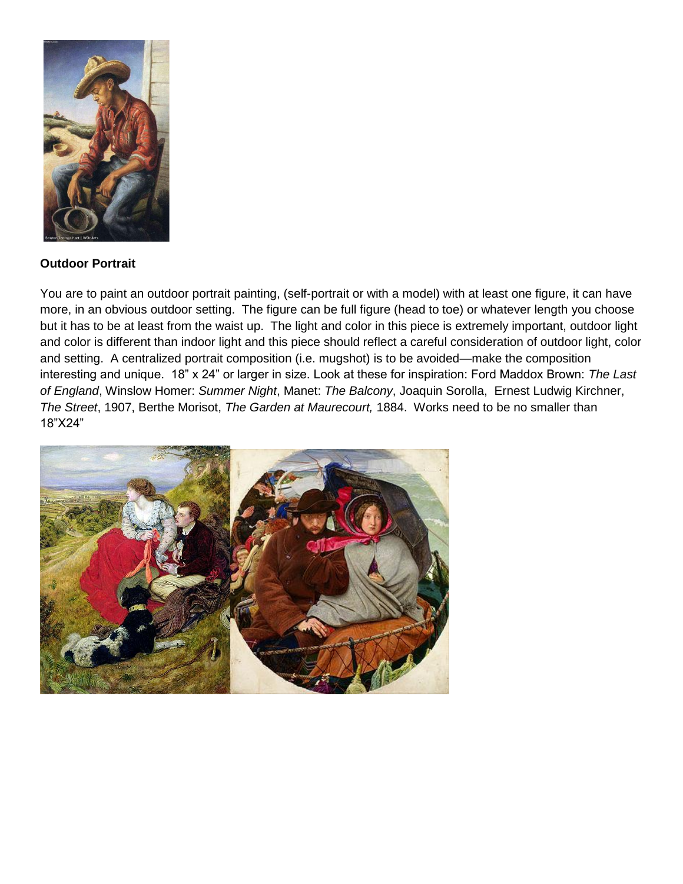

## **Outdoor Portrait**

You are to paint an outdoor portrait painting, (self-portrait or with a model) with at least one figure, it can have more, in an obvious outdoor setting. The figure can be full figure (head to toe) or whatever length you choose but it has to be at least from the waist up. The light and color in this piece is extremely important, outdoor light and color is different than indoor light and this piece should reflect a careful consideration of outdoor light, color and setting. A centralized portrait composition (i.e. mugshot) is to be avoided—make the composition interesting and unique. 18" x 24" or larger in size. Look at these for inspiration: Ford Maddox Brown: *The Last of England*, Winslow Homer: *Summer Night*, Manet: *The Balcony*, Joaquin Sorolla, Ernest Ludwig Kirchner, *The Street*, 1907, Berthe Morisot, *The Garden at Maurecourt,* 1884. Works need to be no smaller than 18"X24"

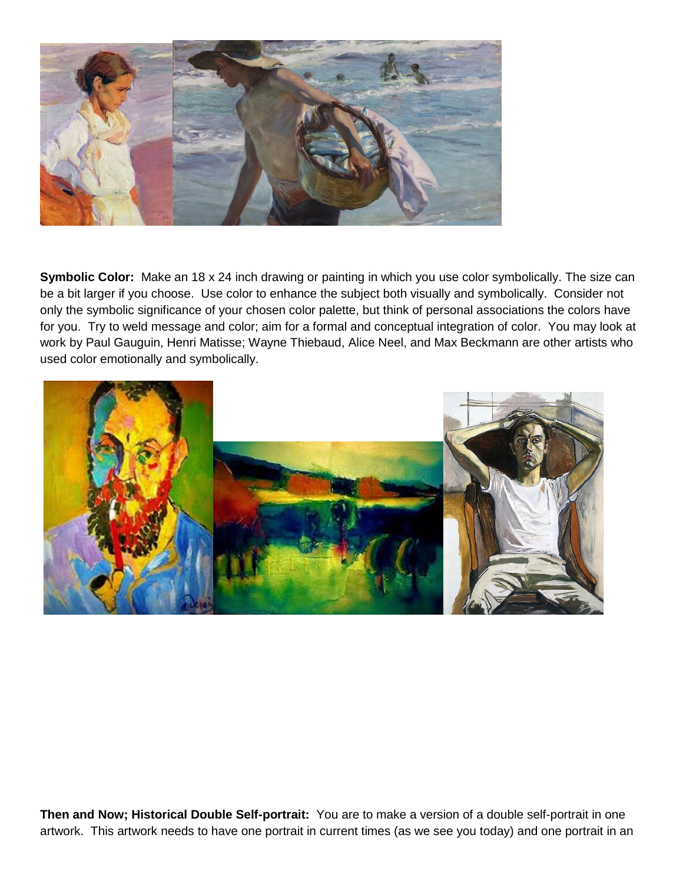

**Symbolic Color:** Make an 18 x 24 inch drawing or painting in which you use color symbolically. The size can be a bit larger if you choose. Use color to enhance the subject both visually and symbolically. Consider not only the symbolic significance of your chosen color palette, but think of personal associations the colors have for you. Try to weld message and color; aim for a formal and conceptual integration of color. You may look at work by Paul Gauguin, Henri Matisse; Wayne Thiebaud, Alice Neel, and Max Beckmann are other artists who used color emotionally and symbolically.



**Then and Now; Historical Double Self-portrait:** You are to make a version of a double self-portrait in one artwork. This artwork needs to have one portrait in current times (as we see you today) and one portrait in an